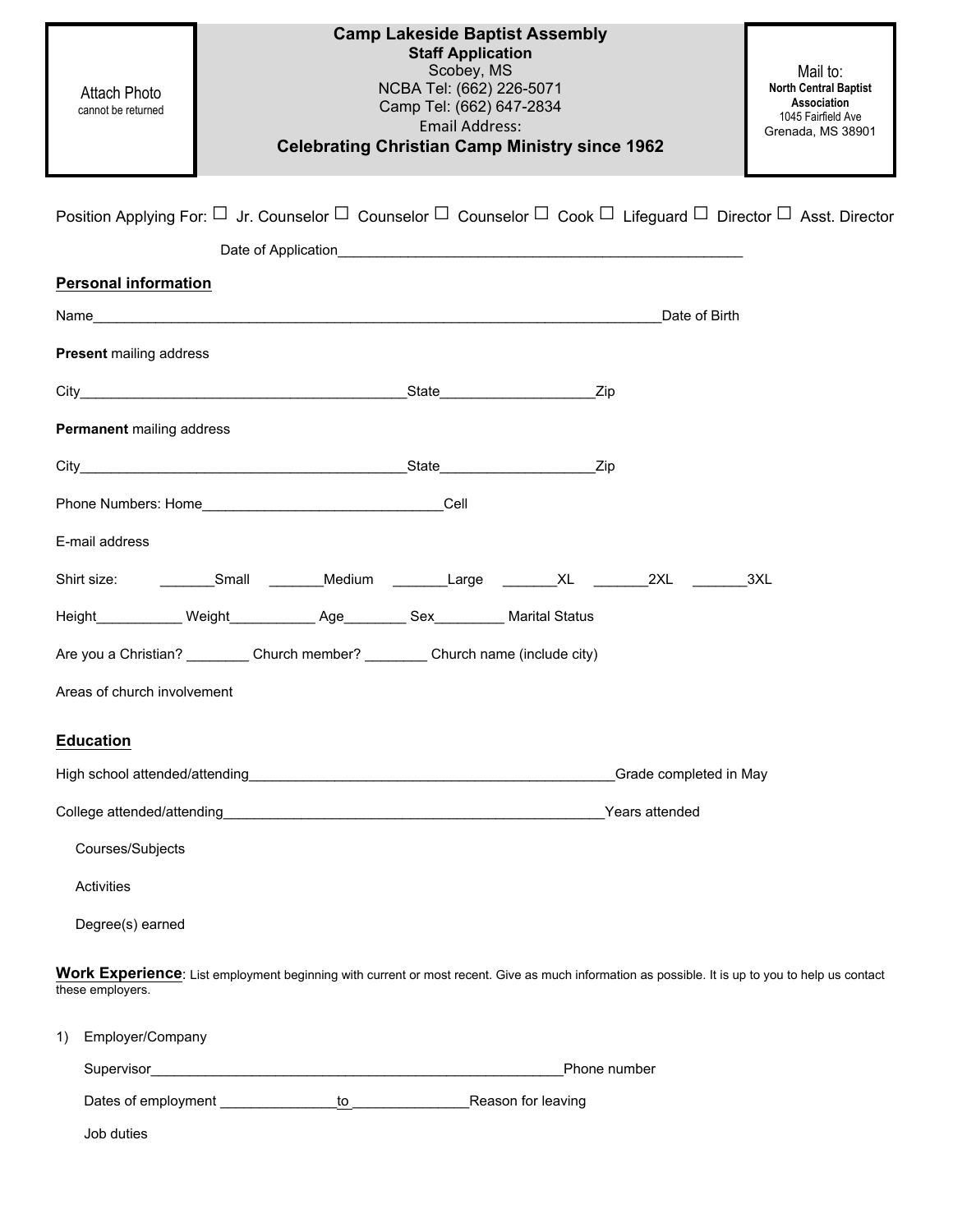| <b>Attach Photo</b><br>cannot be returned                                                                                                                            | <b>Camp Lakeside Baptist Assembly</b><br><b>Staff Application</b><br>Scobey, MS<br>NCBA Tel: (662) 226-5071<br>Camp Tel: (662) 647-2834<br><b>Email Address:</b><br><b>Celebrating Christian Camp Ministry since 1962</b> |                | Mail to:<br><b>North Central Baptist</b><br>Association<br>1045 Fairfield Ave<br>Grenada, MS 38901 |  |  |  |  |
|----------------------------------------------------------------------------------------------------------------------------------------------------------------------|---------------------------------------------------------------------------------------------------------------------------------------------------------------------------------------------------------------------------|----------------|----------------------------------------------------------------------------------------------------|--|--|--|--|
|                                                                                                                                                                      | Position Applying For: $\Box$ Jr. Counselor $\Box$ Counselor $\Box$ Counselor $\Box$ Cook $\Box$ Lifeguard $\Box$ Director $\Box$ Asst. Director                                                                          |                |                                                                                                    |  |  |  |  |
|                                                                                                                                                                      |                                                                                                                                                                                                                           |                |                                                                                                    |  |  |  |  |
| <b>Personal information</b>                                                                                                                                          |                                                                                                                                                                                                                           |                |                                                                                                    |  |  |  |  |
|                                                                                                                                                                      |                                                                                                                                                                                                                           |                | Date of Birth                                                                                      |  |  |  |  |
| <b>Present mailing address</b>                                                                                                                                       |                                                                                                                                                                                                                           |                |                                                                                                    |  |  |  |  |
|                                                                                                                                                                      |                                                                                                                                                                                                                           | Zip            |                                                                                                    |  |  |  |  |
| Permanent mailing address                                                                                                                                            |                                                                                                                                                                                                                           |                |                                                                                                    |  |  |  |  |
|                                                                                                                                                                      |                                                                                                                                                                                                                           | Zip            |                                                                                                    |  |  |  |  |
|                                                                                                                                                                      |                                                                                                                                                                                                                           |                |                                                                                                    |  |  |  |  |
| E-mail address                                                                                                                                                       |                                                                                                                                                                                                                           |                |                                                                                                    |  |  |  |  |
|                                                                                                                                                                      | Shirt size: _____________Small __________Medium _________Large _________XL _________2XL _________3XL                                                                                                                      |                |                                                                                                    |  |  |  |  |
|                                                                                                                                                                      |                                                                                                                                                                                                                           |                |                                                                                                    |  |  |  |  |
|                                                                                                                                                                      | Are you a Christian? __________ Church member? _________ Church name (include city)                                                                                                                                       |                |                                                                                                    |  |  |  |  |
| Areas of church involvement                                                                                                                                          |                                                                                                                                                                                                                           |                |                                                                                                    |  |  |  |  |
|                                                                                                                                                                      |                                                                                                                                                                                                                           |                |                                                                                                    |  |  |  |  |
| <b>Education</b>                                                                                                                                                     |                                                                                                                                                                                                                           |                |                                                                                                    |  |  |  |  |
|                                                                                                                                                                      |                                                                                                                                                                                                                           |                | Grade completed in May                                                                             |  |  |  |  |
|                                                                                                                                                                      |                                                                                                                                                                                                                           | Years attended |                                                                                                    |  |  |  |  |
| Courses/Subjects                                                                                                                                                     |                                                                                                                                                                                                                           |                |                                                                                                    |  |  |  |  |
| Activities                                                                                                                                                           |                                                                                                                                                                                                                           |                |                                                                                                    |  |  |  |  |
| Degree(s) earned                                                                                                                                                     |                                                                                                                                                                                                                           |                |                                                                                                    |  |  |  |  |
| Work Experience: List employment beginning with current or most recent. Give as much information as possible. It is up to you to help us contact<br>these employers. |                                                                                                                                                                                                                           |                |                                                                                                    |  |  |  |  |
| Employer/Company<br>1)                                                                                                                                               |                                                                                                                                                                                                                           |                |                                                                                                    |  |  |  |  |
|                                                                                                                                                                      |                                                                                                                                                                                                                           | Phone number   |                                                                                                    |  |  |  |  |
|                                                                                                                                                                      | to Reason for leaving                                                                                                                                                                                                     |                |                                                                                                    |  |  |  |  |
| Job duties                                                                                                                                                           |                                                                                                                                                                                                                           |                |                                                                                                    |  |  |  |  |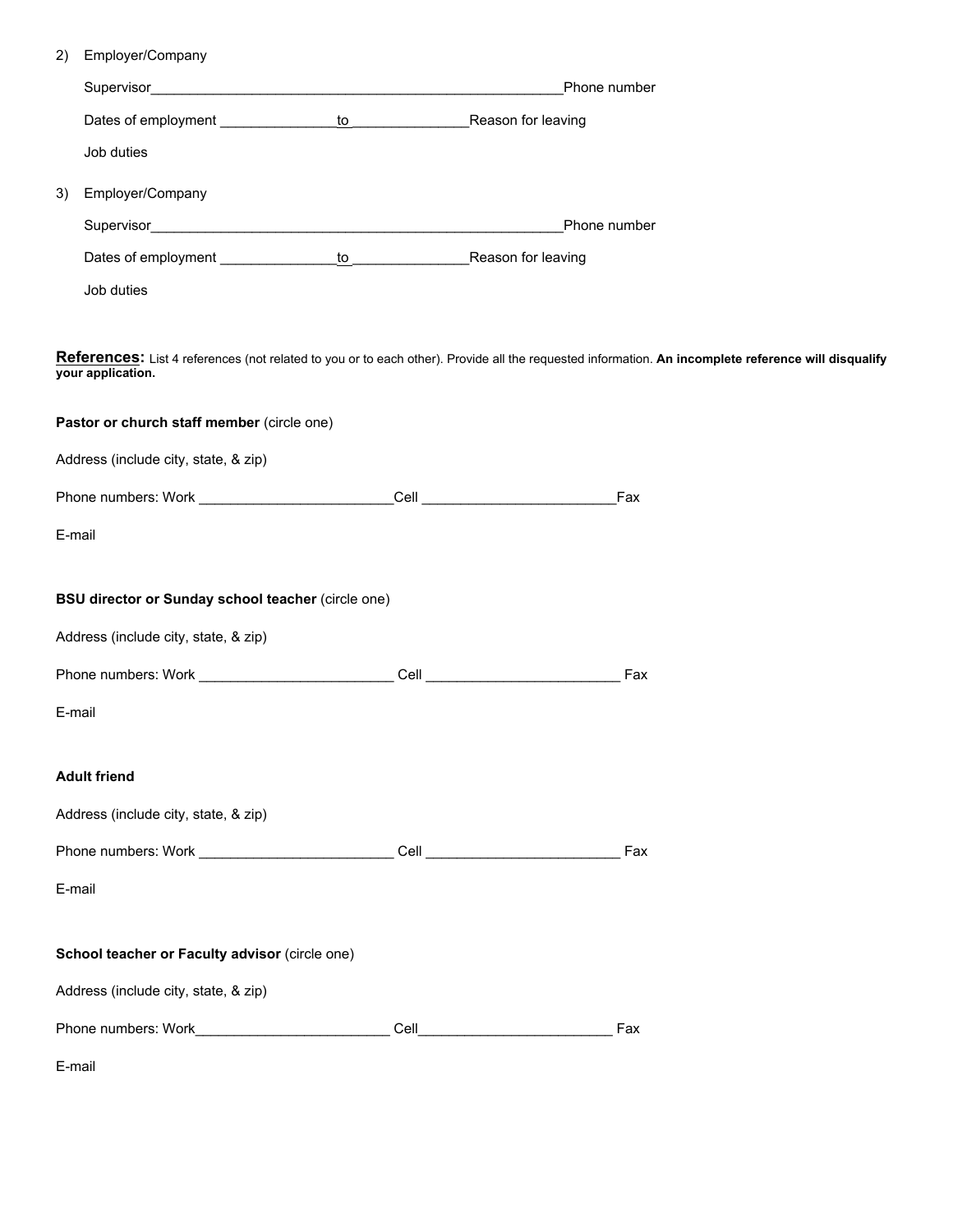| 2) | Employer/Company                                                                                                                                                         |  |                                                                                                                                                                        |     |  |  |  |  |  |  |
|----|--------------------------------------------------------------------------------------------------------------------------------------------------------------------------|--|------------------------------------------------------------------------------------------------------------------------------------------------------------------------|-----|--|--|--|--|--|--|
|    | Phone number                                                                                                                                                             |  |                                                                                                                                                                        |     |  |  |  |  |  |  |
|    |                                                                                                                                                                          |  |                                                                                                                                                                        |     |  |  |  |  |  |  |
|    | Job duties                                                                                                                                                               |  |                                                                                                                                                                        |     |  |  |  |  |  |  |
| 3) | Employer/Company                                                                                                                                                         |  |                                                                                                                                                                        |     |  |  |  |  |  |  |
|    |                                                                                                                                                                          |  | Phone number                                                                                                                                                           |     |  |  |  |  |  |  |
|    |                                                                                                                                                                          |  |                                                                                                                                                                        |     |  |  |  |  |  |  |
|    | Job duties                                                                                                                                                               |  |                                                                                                                                                                        |     |  |  |  |  |  |  |
|    | References: List 4 references (not related to you or to each other). Provide all the requested information. An incomplete reference will disqualify<br>your application. |  |                                                                                                                                                                        |     |  |  |  |  |  |  |
|    | Pastor or church staff member (circle one)                                                                                                                               |  |                                                                                                                                                                        |     |  |  |  |  |  |  |
|    | Address (include city, state, & zip)                                                                                                                                     |  |                                                                                                                                                                        |     |  |  |  |  |  |  |
|    |                                                                                                                                                                          |  |                                                                                                                                                                        | Fax |  |  |  |  |  |  |
|    | E-mail                                                                                                                                                                   |  |                                                                                                                                                                        |     |  |  |  |  |  |  |
|    | BSU director or Sunday school teacher (circle one)                                                                                                                       |  |                                                                                                                                                                        |     |  |  |  |  |  |  |
|    | Address (include city, state, & zip)                                                                                                                                     |  |                                                                                                                                                                        |     |  |  |  |  |  |  |
|    |                                                                                                                                                                          |  | Cell <b>Cell Cell Cell Cell Cell Cell Cell Cell Cell Cell Cell Cell Cell Cell Cell Cell Cell Cell Cell Cell Cell Cell Cell Cell Cell Cell Cell Cell Cell Cell Cell</b> | Fax |  |  |  |  |  |  |
|    | E-mail                                                                                                                                                                   |  |                                                                                                                                                                        |     |  |  |  |  |  |  |
|    | <b>Adult friend</b>                                                                                                                                                      |  |                                                                                                                                                                        |     |  |  |  |  |  |  |
|    | Address (include city, state, & zip)                                                                                                                                     |  |                                                                                                                                                                        |     |  |  |  |  |  |  |
|    |                                                                                                                                                                          |  |                                                                                                                                                                        |     |  |  |  |  |  |  |
|    | E-mail                                                                                                                                                                   |  |                                                                                                                                                                        |     |  |  |  |  |  |  |
|    | School teacher or Faculty advisor (circle one)                                                                                                                           |  |                                                                                                                                                                        |     |  |  |  |  |  |  |
|    | Address (include city, state, & zip)                                                                                                                                     |  |                                                                                                                                                                        |     |  |  |  |  |  |  |
|    |                                                                                                                                                                          |  |                                                                                                                                                                        | Fax |  |  |  |  |  |  |
|    | E-mail                                                                                                                                                                   |  |                                                                                                                                                                        |     |  |  |  |  |  |  |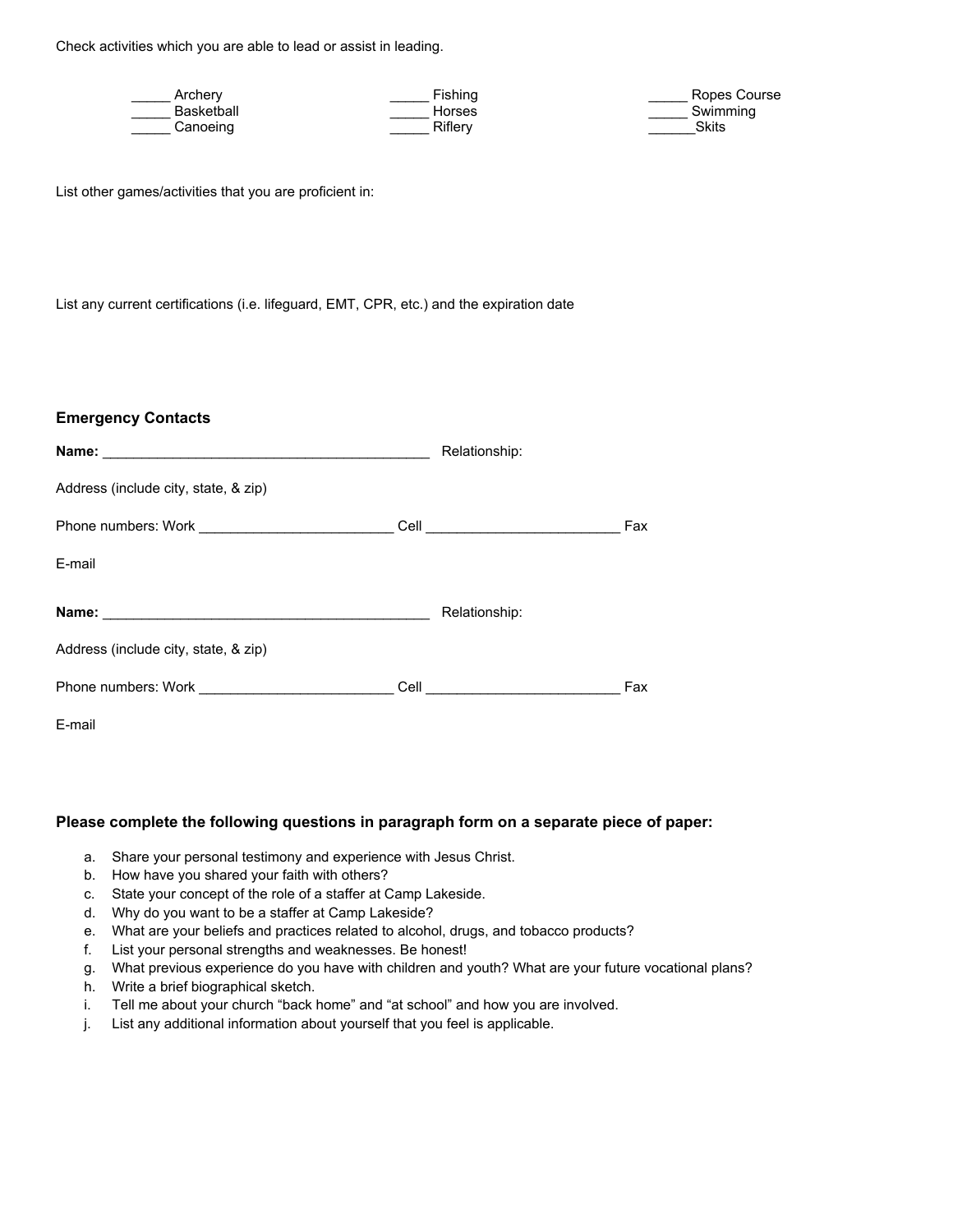Check activities which you are able to lead or assist in leading.

| Archerv    | <b>Fishing</b> | Ropes Course |
|------------|----------------|--------------|
| Basketball | Horses         | Swimming     |
| Canoeinq   | Riflerv        | Skits        |

List other games/activities that you are proficient in:

List any current certifications (i.e. lifeguard, EMT, CPR, etc.) and the expiration date

## **Emergency Contacts**

|                                      |  | Relationship:                  |     |  |  |  |  |  |
|--------------------------------------|--|--------------------------------|-----|--|--|--|--|--|
| Address (include city, state, & zip) |  |                                |     |  |  |  |  |  |
|                                      |  | Cell _________________________ | Fax |  |  |  |  |  |
| E-mail                               |  |                                |     |  |  |  |  |  |
|                                      |  | Relationship:                  |     |  |  |  |  |  |
| Address (include city, state, & zip) |  |                                |     |  |  |  |  |  |
|                                      |  |                                | Fax |  |  |  |  |  |
| E-mail                               |  |                                |     |  |  |  |  |  |

## **Please complete the following questions in paragraph form on a separate piece of paper:**

- a. Share your personal testimony and experience with Jesus Christ.
- b. How have you shared your faith with others?
- c. State your concept of the role of a staffer at Camp Lakeside.
- d. Why do you want to be a staffer at Camp Lakeside?
- e. What are your beliefs and practices related to alcohol, drugs, and tobacco products?
- f. List your personal strengths and weaknesses. Be honest!
- g. What previous experience do you have with children and youth? What are your future vocational plans?
- h. Write a brief biographical sketch.
- i. Tell me about your church "back home" and "at school" and how you are involved.
- j. List any additional information about yourself that you feel is applicable.